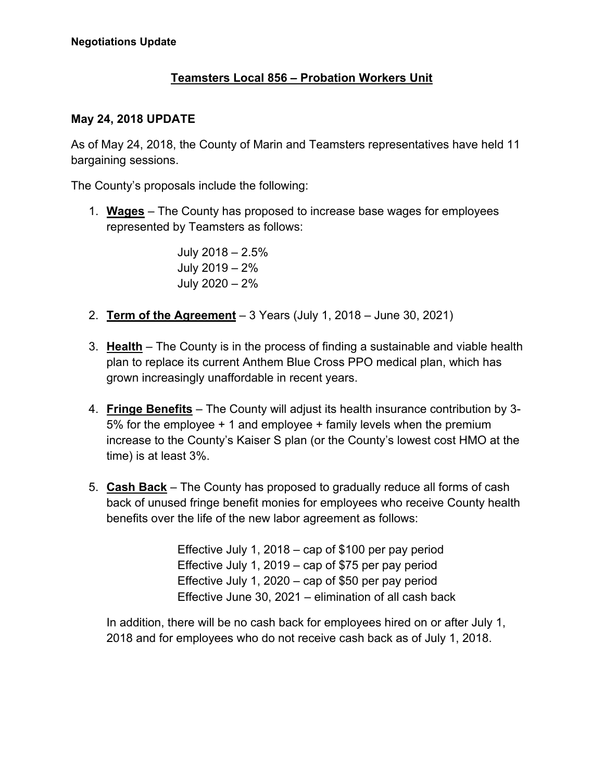## **Teamsters Local 856 – Probation Workers Unit**

## **May 24, 2018 UPDATE**

As of May 24, 2018, the County of Marin and Teamsters representatives have held 11 bargaining sessions.

The County's proposals include the following:

1. **Wages** – The County has proposed to increase base wages for employees represented by Teamsters as follows:

> July 2018 – 2.5% July 2019 – 2% July 2020 – 2%

- 2. **Term of the Agreement** 3 Years (July 1, 2018 June 30, 2021)
- 3. **Health** The County is in the process of finding a sustainable and viable health plan to replace its current Anthem Blue Cross PPO medical plan, which has grown increasingly unaffordable in recent years.
- 4. **Fringe Benefits** The County will adjust its health insurance contribution by 3- 5% for the employee + 1 and employee + family levels when the premium increase to the County's Kaiser S plan (or the County's lowest cost HMO at the time) is at least 3%.
- 5. **Cash Back** The County has proposed to gradually reduce all forms of cash back of unused fringe benefit monies for employees who receive County health benefits over the life of the new labor agreement as follows:

Effective July 1, 2018 – cap of \$100 per pay period Effective July 1, 2019 – cap of \$75 per pay period Effective July 1, 2020 – cap of \$50 per pay period Effective June 30, 2021 – elimination of all cash back

In addition, there will be no cash back for employees hired on or after July 1, 2018 and for employees who do not receive cash back as of July 1, 2018.